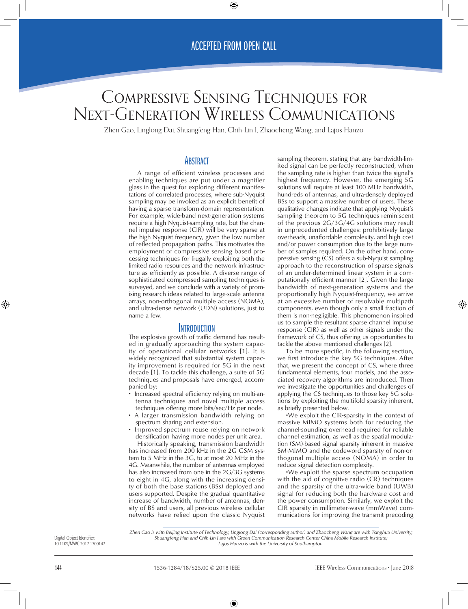# Compressive Sensing Techniques for Next-Generation Wireless Communications

Zhen Gao, Linglong Dai, Shuangfeng Han, Chih-Lin I, Zhaocheng Wang, and Lajos Hanzo

# **ABSTRACT**

A range of efficient wireless processes and enabling techniques are put under a magnifier glass in the quest for exploring different manifestations of correlated processes, where sub-Nyquist sampling may be invoked as an explicit benefit of having a sparse transform-domain representation. For example, wide-band next-generation systems require a high Nyquist-sampling rate, but the channel impulse response (CIR) will be very sparse at the high Nyquist frequency, given the low number of reflected propagation paths. This motivates the employment of compressive sensing based processing techniques for frugally exploiting both the limited radio resources and the network infrastructure as efficiently as possible. A diverse range of sophisticated compressed sampling techniques is surveyed, and we conclude with a variety of promising research ideas related to large-scale antenna arrays, non-orthogonal multiple access (NOMA), and ultra-dense network (UDN) solutions, just to name a few.

#### **INTRODUCTION**

The explosive growth of traffic demand has resulted in gradually approaching the system capacity of operational cellular networks [1]. It is widely recognized that substantial system capacity improvement is required for 5G in the next decade [1]. To tackle this challenge, a suite of 5G techniques and proposals have emerged, accompanied by:

- Increased spectral efficiency relying on multi-antenna techniques and novel multiple access techniques offering more bits/sec/Hz per node.
- A larger transmission bandwidth relying on spectrum sharing and extension.
- Improved spectrum reuse relying on network densification having more nodes per unit area. Historically speaking, transmission bandwidth

has increased from 200 kHz in the 2G GSM system to 5 MHz in the 3G, to at most 20 MHz in the 4G. Meanwhile, the number of antennas employed has also increased from one in the 2G/3G systems to eight in 4G, along with the increasing density of both the base stations (BSs) deployed and users supported. Despite the gradual quantitative increase of bandwidth, number of antennas, density of BS and users, all previous wireless cellular networks have relied upon the classic Nyquist

sampling theorem, stating that any bandwidth-limited signal can be perfectly reconstructed, when the sampling rate is higher than twice the signal's highest frequency. However, the emerging 5G solutions will require at least 100 MHz bandwidth, hundreds of antennas, and ultra-densely deployed BSs to support a massive number of users. These qualitative changes indicate that applying Nyquist's sampling theorem to 5G techniques reminiscent of the previous 2G/3G/4G solutions may result in unprecedented challenges: prohibitively large overheads, unaffordable complexity, and high cost and/or power consumption due to the large number of samples required. On the other hand, compressive sensing (CS) offers a sub-Nyquist sampling approach to the reconstruction of sparse signals of an under-determined linear system in a computationally efficient manner [2]. Given the large bandwidth of next-generation systems and the proportionally high Nyquist-frequency, we arrive at an excessive number of resolvable multipath components, even though only a small fraction of them is non-negligible. This phenomenon inspired us to sample the resultant sparse channel impulse response (CIR) as well as other signals under the framework of CS, thus offering us opportunities to tackle the above mentioned challenges [2].

To be more specific, in the following section, we first introduce the key 5G techniques. After that, we present the concept of CS, where three fundamental elements, four models, and the associated recovery algorithms are introduced. Then we investigate the opportunities and challenges of applying the CS techniques to those key 5G solutions by exploiting the multifold sparsity inherent, as briefly presented below.

•We exploit the CIR-sparsity in the context of massive MIMO systems both for reducing the channel-sounding overhead required for reliable channel estimation, as well as the spatial modulation (SM)-based signal sparsity inherent in massive SM-MIMO and the codeword sparsity of non-orthogonal multiple access (NOMA) in order to reduce signal detection complexity.

•We exploit the sparse spectrum occupation with the aid of cognitive radio (CR) techniques and the sparsity of the ultra-wide band (UWB) signal for reducing both the hardware cost and the power consumption. Similarly, we exploit the CIR sparsity in millimeter-wave (mmWave) communications for improving the transmit precoding

Digital Object Identifier: 10.1109/MWC.2017.1700147 *Zhen Gao is with Beijing Institute of Technology; Linglong Dai (corresponding author) and Zhaocheng Wang are with Tsinghua University; Shuangfeng Han and Chih-Lin I are with Green Communication Research Center China Mobile Research Institute; Lajos Hanzo is with the University of Southampton.*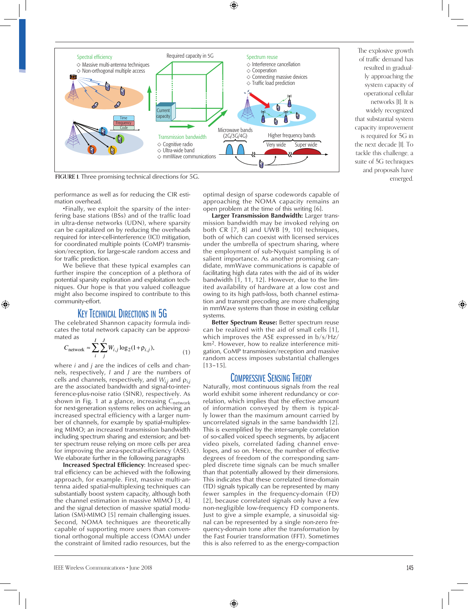

emerged. **FIGURE 1.** Three promising technical directions for 5G.

performance as well as for reducing the CIR estimation overhead.

•Finally, we exploit the sparsity of the interfering base stations (BSs) and of the traffic load in ultra-dense networks (UDN), where sparsity can be capitalized on by reducing the overheads required for inter-cell-interference (ICI) mitigation, for coordinated multiple points (CoMP) transmission/reception, for large-scale random access and for traffic prediction.

We believe that these typical examples can further inspire the conception of a plethora of potential sparsity exploration and exploitation techniques. Our hope is that you valued colleague might also become inspired to contribute to this community-effort.

# KEY TECHNICAL DIRECTIONS IN 5G

The celebrated Shannon capacity formula indicates the total network capacity can be approximated as

$$
C_{\text{network}} \approx \sum_{i}^{I} \sum_{j}^{J} W_{i,j} \log_2(1 + \rho_{i,j}),
$$
 (1)

where *i* and *j* are the indices of cells and channels, respectively, *I* and *J* are the numbers of cells and channels, respectively, and  $W_{i,j}$  and  $\rho_{i,j}$ are the associated bandwidth and signal-to-interference-plus-noise ratio (SINR), respectively. As shown in Fig. 1 at a glance, increasing C<sub>network</sub> for next-generation systems relies on achieving an increased spectral efficiency with a larger number of channels, for example by spatial-multiplexing MIMO; an increased transmission bandwidth including spectrum sharing and extension; and better spectrum reuse relying on more cells per area for improving the area-spectral-efficiency (ASE). We elaborate further in the following paragraphs

Increased Spectral Efficiency: Increased spectral efficiency can be achieved with the following approach, for example. First, massive multi-antenna aided spatial-multiplexing techniques can substantially boost system capacity, although both the channel estimation in massive MIMO [3, 4] and the signal detection of massive spatial modulation (SM)-MIMO [5] remain challenging issues. Second, NOMA techniques are theoretically capable of supporting more users than conventional orthogonal multiple access (OMA) under the constraint of limited radio resources, but the

optimal design of sparse codewords capable of approaching the NOMA capacity remains an open problem at the time of this writing [6].

Larger Transmission Bandwidth: Larger transmission bandwidth may be invoked relying on both CR [7, 8] and UWB [9, 10] techniques, both of which can coexist with licensed services under the umbrella of spectrum sharing, where the employment of sub-Nyquist sampling is of salient importance. As another promising candidate, mmWave communications is capable of facilitating high data rates with the aid of its wider bandwidth [1, 11, 12]. However, due to the limited availability of hardware at a low cost and owing to its high path-loss, both channel estimation and transmit precoding are more challenging in mmWave systems than those in existing cellular systems.

Better Spectrum Reuse: Better spectrum reuse can be realized with the aid of small cells [1], which improves the ASE expressed in b/s/Hz/ km<sup>2</sup>. However, how to realize interference mitigation, CoMP transmission/reception and massive random access imposes substantial challenges [13–15].

## Compressive Sensing Theory

Naturally, most continuous signals from the real world exhibit some inherent redundancy or correlation, which implies that the effective amount of information conveyed by them is typically lower than the maximum amount carried by uncorrelated signals in the same bandwidth [2]. This is exemplified by the inter-sample correlation of so-called voiced speech segments, by adjacent video pixels, correlated fading channel envelopes, and so on. Hence, the number of effective degrees of freedom of the corresponding sampled discrete time signals can be much smaller than that potentially allowed by their dimensions. This indicates that these correlated time-domain (TD) signals typically can be represented by many fewer samples in the frequency-domain (FD) [2], because correlated signals only have a few non-negligible low-frequency FD components. Just to give a simple example, a sinusoidal signal can be represented by a single non-zero frequency-domain tone after the transformation by the Fast Fourier transformation (FFT). Sometimes this is also referred to as the energy-compaction

The explosive growth of traffic demand has resulted in gradually approaching the system capacity of operational cellular networks [1]. It is widely recognized that substantial system capacity improvement is required for 5G in the next decade [1]. To tackle this challenge, a suite of 5G techniques and proposals have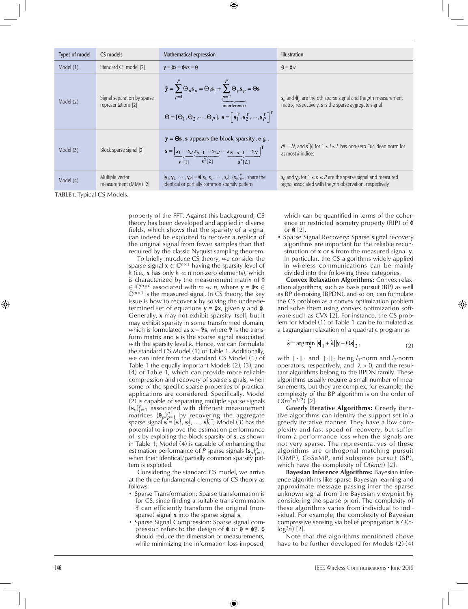| Types of model | CS models                                          | <b>Mathematical expression</b>                                                                                                                                                                                                                                                   | <b>Illustration</b>                                                                                                                                    |
|----------------|----------------------------------------------------|----------------------------------------------------------------------------------------------------------------------------------------------------------------------------------------------------------------------------------------------------------------------------------|--------------------------------------------------------------------------------------------------------------------------------------------------------|
| Model (1)      | Standard CS model [2]                              | $y = \Phi x = \Phi \psi s = \Theta$                                                                                                                                                                                                                                              | $\theta = \Phi \Psi$                                                                                                                                   |
| Model (2)      | Signal separation by sparse<br>representations [2] | $\tilde{\mathbf{y}} = \sum_{p=1}^{P} \Theta_p \mathbf{s}_p = \Theta_1 \mathbf{s}_1 + \sum_{\substack{p=2 \text{interference}}}^{P} \Theta_p \mathbf{s}_p = \Theta \mathbf{s}$<br>$\Theta = [\Theta_1, \Theta_2, \cdots, \Theta_P], \mathbf{s} = [s_1^T, s_2^T, \cdots, s_P^T]^T$ | $s_p$ and $\mathbf{\Theta}_p$ are the pth sparse signal and the pth measurement<br>matrix, respectively, s is the sparse aggregate signal              |
| Model (3)      | Block sparse signal [2]                            | $y = \Theta s$ , s appears the block sparsity, e.g.,<br>$\mathbf{s} = \underbrace{[s_1 \cdots s_d}_{s^T[1]} \underbrace{s_{d+1} \cdots s_{2d}}_{s^T[2]} \cdots \underbrace{s_{N-d+1} \cdots s_N}_{s^T[1]}]^{\mathrm{T}}$                                                         | $dL = N$ , and $s^{T}[l]$ for $1 \le l \le L$ has non-zero Euclidean norm for<br>at most $k$ indices                                                   |
| Model (4)      | Multiple vector<br>measurement (MMV) [2]           | $[y_1, y_2, \cdots, y_p] = \Theta[s_1, s_2, \cdots, s_p], \{s_p\}_{p=1}^p$ share the<br>identical or partially common sparsity pattern                                                                                                                                           | $\mathsf{s}_p$ and $\mathsf{y}_p$ for $1 \leq p \leq P$ are the sparse signal and measured<br>signal associated with the pth observation, respectively |

**TABLE 1.** Typical CS Models.

property of the FFT. Against this background, CS theory has been developed and applied in diverse fields, which shows that the sparsity of a signal can indeed be exploited to recover a replica of the original signal from fewer samples than that required by the classic Nyquist sampling theorem.

To briefly introduce CS theory, we consider the sparse signal  $x \in \mathbb{C}^{n \times 1}$  having the sparsity level of  $k$  (i.e., **x** has only  $k \ll n$  non-zero elements), which is characterized by the measurement matrix of  $\Phi$  $\in \mathbb{C}^{m \times n}$  associated with  $m \ll n$ , where  $y = \Phi x \in$ C*m*×1 is the measured signal. In CS theory, the key issue is how to recover  $x$  by solving the under-determined set of equations  $y = \Phi x$ , given y and  $\Phi$ . Generally, x may not exhibit sparsity itself, but it may exhibit sparsity in some transformed domain, which is formulated as  $x = \Psi s$ , where  $\Psi$  is the transform matrix and s is the sparse signal associated with the sparsity level *k*. Hence, we can formulate the standard CS Model (1) of Table 1. Additionally, we can infer from the standard CS Model (1) of Table 1 the equally important Models (2), (3), and (4) of Table 1, which can provide more reliable compression and recovery of sparse signals, when some of the specific sparse properties of practical applications are considered. Specifically, Model (2) is capable of separating multiple sparse signals  ${s_p}_{p=1}^p$  associated with different measurement matrices  ${\{\Theta_p\}}_{p=1}^P$  by recovering the aggregate sparse signal  $\mathbf{s}' = [\mathbf{s}_1^\top, \mathbf{s}_2^\top, \dots, \mathbf{s}_p^\top]^\top$ ; Model (3) has the potential to improve the estimation performance of s by exploiting the block sparsity of s, as shown in Table 1; Model (4) is capable of enhancing the estimation performance of *P* sparse signals  $\{s_p\}_{p=1}^P$ , when their identical/partially common sparsity pattern is exploited.

Considering the standard CS model, we arrive at the three fundamental elements of CS theory as follows:

- Sparse Transformation: Sparse transformation is for CS, since finding a suitable transform matrix Y can efficiently transform the original (nonsparse) signal  $x$  into the sparse signal  $s$ .
- Sparse Signal Compression: Sparse signal compression refers to the design of  $\phi$  or  $\theta = \phi \Psi$ .  $\phi$ should reduce the dimension of measurements, while minimizing the information loss imposed,

which can be quantified in terms of the coherence or restricted isometry property (RIP) of  $\Phi$ or  $\theta$  [2].

• Sparse Signal Recovery: Sparse signal recovery algorithms are important for the reliable reconstruction of  $x$  or  $s$  from the measured signal  $y$ . In particular, the CS algorithms widely applied in wireless communications can be mainly divided into the following three categories.

Convex Relaxation Algorithms: Convex relaxation algorithms, such as basis pursuit (BP) as well as BP de-noising (BPDN), and so on, can formulate the CS problem as a convex optimization problem and solve them using convex optimization software such as CVX [2]. For instance, the CS problem for Model (1) of Table 1 can be formulated as a Lagrangian relaxation of a quadratic program as

$$
\hat{\mathbf{s}} = \arg\min_{\mathbf{s}} \|\mathbf{s}\|_{1} + \lambda \|\mathbf{y} - \Theta \mathbf{s}\|_{2},
$$
\n(2)

with  $||\cdot||_1$  and  $||\cdot||_2$  being *l*<sub>1</sub>-norm and *l*<sub>2</sub>-norm operators, respectively, and  $\lambda > 0$ , and the resultant algorithms belong to the BPDN family. These algorithms usually require a small number of measurements, but they are complex, for example, the complexity of the BP algorithm is on the order of *O*(*m*2*n*3/2) [2].

Greedy Iterative Algorithms: Greedy iterative algorithms can identify the support set in a greedy iterative manner. They have a low complexity and fast speed of recovery, but suffer from a performance loss when the signals are not very sparse. The representatives of these algorithms are orthogonal matching pursuit (OMP), CoSaMP, and subspace pursuit (SP), which have the complexity of *O*(*kmn*) [2].

Bayesian Inference Algorithms: Bayesian inference algorithms like sparse Bayesian learning and approximate message passing infer the sparse unknown signal from the Bayesian viewpoint by considering the sparse priori. The complexity of these algorithms varies from individual to individual. For example, the complexity of Bayesian compressive sensing via belief propagation is *O*(*n*log2*n*) [2].

Note that the algorithms mentioned above have to be further developed for Models (2)-(4)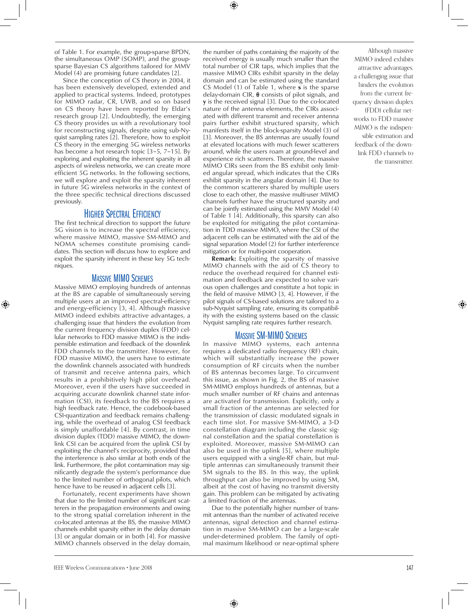of Table 1. For example, the group-sparse BPDN, the simultaneous OMP (SOMP), and the groupsparse Bayesian CS algorithms tailored for MMV Model (4) are promising future candidates [2].

Since the conception of CS theory in 2004, it has been extensively developed, extended and applied to practical systems. Indeed, prototypes for MIMO radar, CR, UWB, and so on based on CS theory have been reported by Eldar's research group [2]. Undoubtedly, the emerging CS theory provides us with a revolutionary tool for reconstructing signals, despite using sub-Nyquist sampling rates [2]. Therefore, how to exploit CS theory in the emerging 5G wireless networks has become a hot research topic [3-5, 7-15]. By exploring and exploiting the inherent sparsity in all aspects of wireless networks, we can create more efficient 5G networks. In the following sections, we will explore and exploit the sparsity inherent in future 5G wireless networks in the context of the three specific technical directions discussed previously.

# Higher Spectral Efficiency

The first technical direction to support the future 5G vision is to increase the spectral efficiency, where massive MIMO, massive SM-MIMO and NOMA schemes constitute promising candidates. This section will discuss how to explore and exploit the sparsity inherent in these key 5G techniques.

# **MASSIVE MIMO SCHEMES**

Massive MIMO employing hundreds of antennas at the BS are capable of simultaneously serving multiple users at an improved spectral-efficiency and energy-efficiency [3, 4]. Although massive MIMO indeed exhibits attractive advantages, a challenging issue that hinders the evolution from the current frequency division duplex (FDD) cellular networks to FDD massive MIMO is the indispensible estimation and feedback of the downlink FDD channels to the transmitter. However, for FDD massive MIMO, the users have to estimate the downlink channels associated with hundreds of transmit and receive antenna pairs, which results in a prohibitively high pilot overhead. Moreover, even if the users have succeeded in acquiring accurate downlink channel state information (CSI), its feedback to the BS requires a high feedback rate. Hence, the codebook-based CSI-quantization and feedback remains challenging, while the overhead of analog CSI feedback is simply unaffordable [4]. By contrast, in time division duplex (TDD) massive MIMO, the downlink CSI can be acquired from the uplink CSI by exploiting the channel's reciprocity, provided that the interference is also similar at both ends of the link. Furthermore, the pilot contamination may significantly degrade the system's performance due to the limited number of orthogonal pilots, which hence have to be reused in adjacent cells [3].

Fortunately, recent experiments have shown that due to the limited number of significant scatterers in the propagation environments and owing to the strong spatial correlation inherent in the co-located antennas at the BS, the massive MIMO channels exhibit sparsity either in the delay domain [3] or angular domain or in both [4]. For massive MIMO channels observed in the delay domain,

the number of paths containing the majority of the received energy is usually much smaller than the total number of CIR taps, which implies that the massive MIMO CIRs exhibit sparsity in the delay domain and can be estimated using the standard CS Model (1) of Table 1, where s is the sparse delay-domain CIR, Q consists of pilot signals, and y is the received signal [3]. Due to the co-located nature of the antenna elements, the CIRs associated with different transmit and receiver antenna pairs further exhibit structured sparsity, which manifests itself in the block-sparsity Model (3) of [3]. Moreover, the BS antennas are usually found at elevated locations with much fewer scatterers around, while the users roam at ground-level and experience rich scatterers. Therefore, the massive MIMO CIRs seen from the BS exhibit only limited angular spread, which indicates that the CIRs exhibit sparsity in the angular domain [4]. Due to the common scatterers shared by multiple users close to each other, the massive multi-user MIMO channels further have the structured sparsity and can be jointly estimated using the MMV Model (4) of Table 1 [4]. Additionally, this sparsity can also be exploited for mitigating the pilot contamination in TDD massive MIMO, where the CSI of the adjacent cells can be estimated with the aid of the signal separation Model (2) for further interference mitigation or for multi-point cooperation.

Remark: Exploiting the sparsity of massive MIMO channels with the aid of CS theory to reduce the overhead required for channel estimation and feedback are expected to solve various open challenges and constitute a hot topic in the field of massive MIMO [3, 4]. However, if the pilot signals of CS-based solutions are tailored to a sub-Nyquist sampling rate, ensuring its compatibility with the existing systems based on the classic Nyquist sampling rate requires further research.

# **MASSIVE SM-MIMO SCHEMES**

In massive MIMO systems, each antenna requires a dedicated radio frequency (RF) chain, which will substantially increase the power consumption of RF circuits when the number of BS antennas becomes large. To circumvent this issue, as shown in Fig. 2, the BS of massive SM-MIMO employs hundreds of antennas, but a much smaller number of RF chains and antennas are activated for transmission. Explicitly, only a small fraction of the antennas are selected for the transmission of classic modulated signals in each time slot. For massive SM-MIMO, a 3-D constellation diagram including the classic signal constellation and the spatial constellation is exploited. Moreover, massive SM-MIMO can also be used in the uplink [5], where multiple users equipped with a single-RF chain, but multiple antennas can simultaneously transmit their SM signals to the BS. In this way, the uplink throughput can also be improved by using SM, albeit at the cost of having no transmit diversity gain. This problem can be mitigated by activating a limited fraction of the antennas.

Due to the potentially higher number of transmit antennas than the number of activated receive antennas, signal detection and channel estimation in massive SM-MIMO can be a large-scale under-determined problem. The family of optimal maximum likelihood or near-optimal sphere

Although massive MIMO indeed exhibits attractive advantages, a challenging issue that hinders the evolution from the current frequency division duplex (FDD) cellular networks to FDD massive MIMO is the indispensible estimation and feedback of the downlink FDD channels to the transmitter.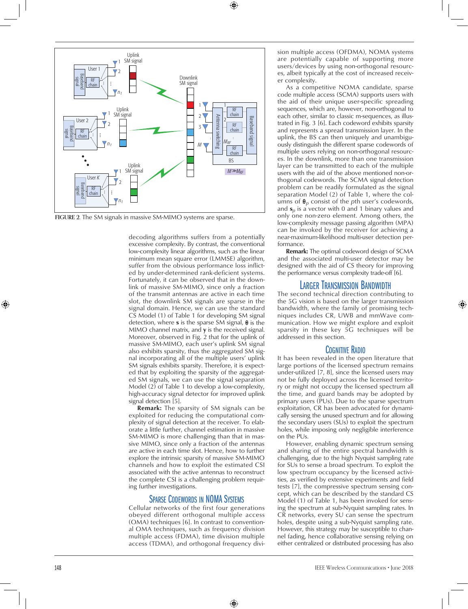

**FIGURE 2.** The SM signals in massive SM-MIMO systems are sparse.

decoding algorithms suffers from a potentially excessive complexity. By contrast, the conventional low-complexity linear algorithms, such as the linear minimum mean square error (LMMSE) algorithm, suffer from the obvious performance loss inflicted by under-determined rank-deficient systems. Fortunately, it can be observed that in the downlink of massive SM-MIMO, since only a fraction of the transmit antennas are active in each time slot, the downlink SM signals are sparse in the signal domain. Hence, we can use the standard CS Model (1) of Table 1 for developing SM signal detection, where  $s$  is the sparse SM signal,  $\theta$  is the MIMO channel matrix, and y is the received signal. Moreover, observed in Fig. 2 that for the uplink of massive SM-MIMO, each user's uplink SM signal also exhibits sparsity, thus the aggregated SM signal incorporating all of the multiple users' uplink SM signals exhibits sparsity. Therefore, it is expected that by exploiting the sparsity of the aggregated SM signals, we can use the signal separation Model (2) of Table 1 to develop a low-complexity, high-accuracy signal detector for improved uplink signal detection [5].

Remark: The sparsity of SM signals can be exploited for reducing the computational complexity of signal detection at the receiver. To elaborate a little further, channel estimation in massive SM-MIMO is more challenging than that in massive MIMO, since only a fraction of the antennas are active in each time slot. Hence, how to further explore the intrinsic sparsity of massive SM-MIMO channels and how to exploit the estimated CSI associated with the active antennas to reconstruct the complete CSI is a challenging problem requiring further investigations.

## Sparse Codewords in NOMA Systems

Cellular networks of the first four generations obeyed different orthogonal multiple access (OMA) techniques [6]. In contrast to conventional OMA techniques, such as frequency division multiple access (FDMA), time division multiple access (TDMA), and orthogonal frequency division multiple access (OFDMA), NOMA systems are potentially capable of supporting more users/devices by using non-orthogonal resources, albeit typically at the cost of increased receiver complexity.

As a competitive NOMA candidate, sparse code multiple access (SCMA) supports users with the aid of their unique user-specific spreading sequences, which are, however, non-orthogonal to each other, similar to classic m-sequences, as illustrated in Fig. 3 [6]. Each codeword exhibits sparsity and represents a spread transmission layer. In the uplink, the BS can then uniquely and unambiguously distinguish the different sparse codewords of multiple users relying on non-orthogonal resources. In the downlink, more than one transmission layer can be transmitted to each of the multiple users with the aid of the above mentioned non-orthogonal codewords. The SCMA signal detection problem can be readily formulated as the signal separation Model (2) of Table 1, where the columns of  $\mathbf{\Theta}_p$  consist of the *p*th user's codewords, and  $s_p$  is a vector with 0 and 1 binary values and only one non-zero element. Among others, the low-complexity message passing algorithm (MPA) can be invoked by the receiver for achieving a near-maximum-likelihood multi-user detection performance.

Remark: The optimal codeword design of SCMA and the associated multi-user detector may be designed with the aid of CS theory for improving the performance versus complexity trade-off [6].

## LARGER TRANSMISSION BANDWIDTH

The second technical direction contributing to the 5G vision is based on the larger transmission bandwidth, where the family of promising techniques includes CR, UWB and mmWave communication. How we might explore and exploit sparsity in these key 5G techniques will be addressed in this section.

#### Cognitive Radio

It has been revealed in the open literature that large portions of the licensed spectrum remains under-utilized [7, 8], since the licensed users may not be fully deployed across the licensed territory or might not occupy the licensed spectrum all the time, and guard bands may be adopted by primary users (PUs). Due to the sparse spectrum exploitation, CR has been advocated for dynamically sensing the unused spectrum and for allowing the secondary users (SUs) to exploit the spectrum holes, while imposing only negligible interference on the PUs.

However, enabling dynamic spectrum sensing and sharing of the entire spectral bandwidth is challenging, due to the high Nyquist sampling rate for SUs to sense a broad spectrum. To exploit the low spectrum occupancy by the licensed activities, as verified by extensive experiments and field tests [7], the compressive spectrum sensing concept, which can be described by the standard CS Model (1) of Table 1, has been invoked for sensing the spectrum at sub-Nyquist sampling rates. In CR networks, every SU can sense the spectrum holes, despite using a sub-Nyquist sampling rate. However, this strategy may be susceptible to channel fading, hence collaborative sensing relying on either centralized or distributed processing has also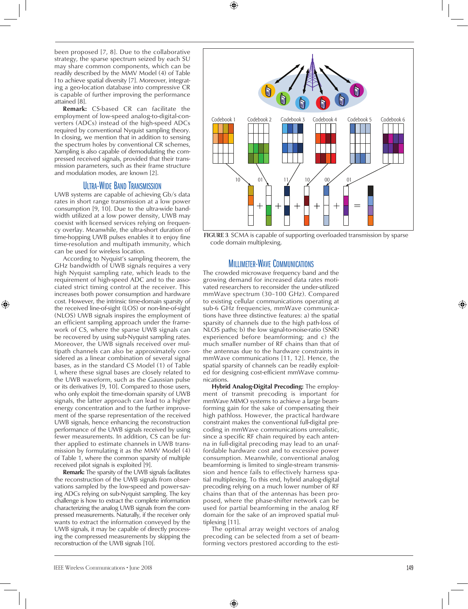been proposed [7, 8]. Due to the collaborative strategy, the sparse spectrum seized by each SU may share common components, which can be readily described by the MMV Model (4) of Table I to achieve spatial diversity [7]. Moreover, integrating a geo-location database into compressive CR is capable of further improving the performance attained [8].

Remark: CS-based CR can facilitate the employment of low-speed analog-to-digital-converters (ADCs) instead of the high-speed ADCs required by conventional Nyquist sampling theory. In closing, we mention that in addition to sensing the spectrum holes by conventional CR schemes, Xampling is also capable of demodulating the compressed received signals, provided that their transmission parameters, such as their frame structure and modulation modes, are known [2].

## Ultra-Wide Band Transmission

UWB systems are capable of achieving Gb/s data rates in short range transmission at a low power consumption [9, 10]. Due to the ultra-wide bandwidth utilized at a low power density, UWB may coexist with licensed services relying on frequency overlay. Meanwhile, the ultra-short duration of time-hopping UWB pulses enables it to enjoy fine time-resolution and multipath immunity, which can be used for wireless location.

According to Nyquist's sampling theorem, the GHz bandwidth of UWB signals requires a very high Nyquist sampling rate, which leads to the requirement of high-speed ADC and to the associated strict timing control at the receiver. This increases both power consumption and hardware cost. However, the intrinsic time-domain sparsity of the received line-of-sight (LOS) or non-line-of-sight (NLOS) UWB signals inspires the employment of an efficient sampling approach under the framework of CS, where the sparse UWB signals can be recovered by using sub-Nyquist sampling rates. Moreover, the UWB signals received over multipath channels can also be approximately considered as a linear combination of several signal bases, as in the standard CS Model (1) of Table I, where these signal bases are closely related to the UWB waveform, such as the Gaussian pulse or its derivatives [9, 10]. Compared to those users, who only exploit the time-domain sparsity of UWB signals, the latter approach can lead to a higher energy concentration and to the further improvement of the sparse representation of the received UWB signals, hence enhancing the reconstruction performance of the UWB signals received by using fewer measurements. In addition, CS can be further applied to estimate channels in UWB transmission by formulating it as the MMV Model (4) of Table 1, where the common sparsity of multiple received pilot signals is exploited [9].

Remark: The sparsity of the UWB signals facilitates the reconstruction of the UWB signals from observations sampled by the low-speed and power-saving ADCs relying on sub-Nyquist sampling. The key challenge is how to extract the complete information characterizing the analog UWB signals from the compressed measurements. Naturally, if the receiver only wants to extract the information conveyed by the UWB signals, it may be capable of directly processing the compressed measurements by skipping the reconstruction of the UWB signals [10].



**FIGURE 3.** SCMA is capable of supporting overloaded transmission by sparse code domain multiplexing.

# Millimeter-Wave Communications

The crowded microwave frequency band and the growing demand for increased data rates motivated researchers to reconsider the under-utilized mmWave spectrum (30~100 GHz). Compared to existing cellular communications operating at sub-6 GHz frequencies, mmWave communications have three distinctive features: a) the spatial sparsity of channels due to the high path-loss of NLOS paths; b) the low signal-to-noise-ratio (SNR) experienced before beamforming; and c) the much smaller number of RF chains than that of the antennas due to the hardware constraints in mmWave communications [11, 12]. Hence, the spatial sparsity of channels can be readily exploited for designing cost-efficient mmWave communications.

Hybrid Analog-Digital Precoding: The employment of transmit precoding is important for mmWave MIMO systems to achieve a large beamforming gain for the sake of compensating their high pathloss. However, the practical hardware constraint makes the conventional full-digital precoding in mmWave communications unrealistic, since a specific RF chain required by each antenna in full-digital precoding may lead to an unaffordable hardware cost and to excessive power consumption. Meanwhile, conventional analog beamforming is limited to single-stream transmission and hence fails to effectively harness spatial multiplexing. To this end, hybrid analog-digital precoding relying on a much lower number of RF chains than that of the antennas has been proposed, where the phase-shifter network can be used for partial beamforming in the analog RF domain for the sake of an improved spatial multiplexing [11].

The optimal array weight vectors of analog precoding can be selected from a set of beamforming vectors prestored according to the esti-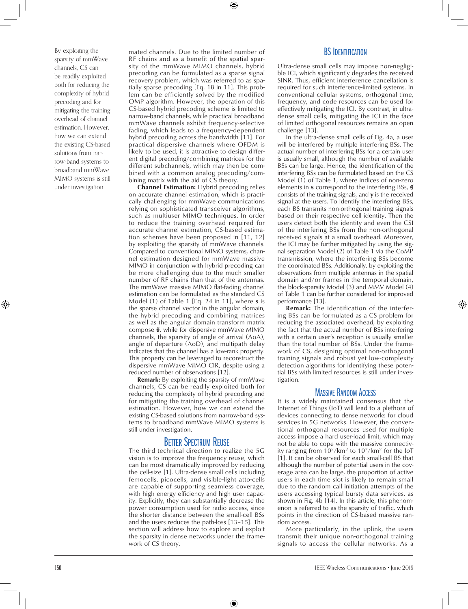By exploiting the sparsity of mmWave channels, CS can be readily exploited both for reducing the complexity of hybrid precoding and for mitigating the training overhead of channel estimation. However, how we can extend the existing CS-based solutions from narrow-band systems to broadband mmWave MIMO systems is still under investigation.

mated channels. Due to the limited number of RF chains and as a benefit of the spatial sparsity of the mmWave MIMO channels, hybrid precoding can be formulated as a sparse signal recovery problem, which was referred to as spatially sparse precoding [Eq. 18 in 11]. This problem can be efficiently solved by the modified OMP algorithm. However, the operation of this CS-based hybrid precoding scheme is limited to narrow-band channels, while practical broadband mmWave channels exhibit frequency-selective fading, which leads to a frequency-dependent hybrid precoding across the bandwidth [11]. For practical dispersive channels where OFDM is likely to be used, it is attractive to design different digital precoding/combining matrices for the different subchannels, which may then be combined with a common analog precoding/combining matrix with the aid of CS theory.

Channel Estimation: Hybrid precoding relies on accurate channel estimation, which is practically challenging for mmWave communications relying on sophisticated transceiver algorithms, such as multiuser MIMO techniques. In order to reduce the training overhead required for accurate channel estimation, CS-based estimation schemes have been proposed in [11, 12] by exploiting the sparsity of mmWave channels. Compared to conventional MIMO systems, channel estimation designed for mmWave massive MIMO in conjunction with hybrid precoding can be more challenging due to the much smaller number of RF chains than that of the antennas. The mmWave massive MIMO flat-fading channel estimation can be formulated as the standard CS Model (1) of Table 1 [Eq. 24 in 11], where s is the sparse channel vector in the angular domain, the hybrid precoding and combining matrices as well as the angular domain transform matrix compose Q, while for dispersive mmWave MIMO channels, the sparsity of angle of arrival (AoA), angle of departure (AoD), and multipath delay indicates that the channel has a low-rank property. This property can be leveraged to reconstruct the dispersive mmWave MIMO CIR, despite using a reduced number of observations [12].

**Remark:** By exploiting the sparsity of mmWave channels, CS can be readily exploited both for reducing the complexity of hybrid precoding and for mitigating the training overhead of channel estimation. However, how we can extend the existing CS-based solutions from narrow-band systems to broadband mmWave MIMO systems is still under investigation.

## Better Spectrum Reuse

The third technical direction to realize the 5G vision is to improve the frequency reuse, which can be most dramatically improved by reducing the cell-size [1]. Ultra-dense small cells including femocells, picocells, and visible-light atto-cells are capable of supporting seamless coverage, with high energy efficiency and high user capacity. Explicitly, they can substantially decrease the power consumption used for radio access, since the shorter distance between the small-cell BSs and the users reduces the path-loss [13–15]. This section will address how to explore and exploit the sparsity in dense networks under the framework of CS theory.

## BS Identification

Ultra-dense small cells may impose non-negligible ICI, which significantly degrades the received SINR. Thus, efficient interference cancellation is required for such interference-limited systems. In conventional cellular systems, orthogonal time, frequency, and code resources can be used for effectively mitigating the ICI. By contrast, in ultradense small cells, mitigating the ICI in the face of limited orthogonal resources remains an open challenge [13].

In the ultra-dense small cells of Fig. 4a, a user will be interfered by multiple interfering BSs. The actual number of interfering BSs for a certain user is usually small, although the number of available BSs can be large. Hence, the identification of the interfering BSs can be formulated based on the CS Model (1) of Table 1, where indices of non-zero elements in **s** correspond to the interfering BSs, 0 consists of the training signals, and y is the received signal at the users. To identify the interfering BSs, each BS transmits non-orthogonal training signals based on their respective cell identity. Then the users detect both the identity and even the CSI of the interfering BSs from the non-orthogonal received signals at a small overhead. Moreover, the ICI may be further mitigated by using the signal separation Model (2) of Table 1 via the CoMP transmission, where the interfering BSs become the coordinated BSs. Additionally, by exploiting the observations from multiple antennas in the spatial domain and/or frames in the temporal domain, the block-sparsity Model (3) and MMV Model (4) of Table 1 can be further considered for improved performance [13].

Remark: The identification of the interfering BSs can be formulated as a CS problem for reducing the associated overhead, by exploiting the fact that the actual number of BSs interfering with a certain user's reception is usually smaller than the total number of BSs. Under the framework of CS, designing optimal non-orthogonal training signals and robust yet low-complexity detection algorithms for identifying these potential BSs with limited resources is still under investigation.

## Massive Random Access

It is a widely maintained consensus that the Internet of Things (IoT) will lead to a plethora of devices connecting to dense networks for cloud services in 5G networks. However, the conventional orthogonal resources used for multiple access impose a hard user-load limit, which may not be able to cope with the massive connectivity ranging from  $10^2/\text{km}^2$  to  $10^7/\text{km}^2$  for the IoT [1]. It can be observed for each small-cell BS that although the number of potential users in the coverage area can be large, the proportion of active users in each time slot is likely to remain small due to the random call initiation attempts of the users accessing typical bursty data services, as shown in Fig. 4b [14]. In this article, this phenomenon is referred to as the sparsity of traffic, which points in the direction of CS-based massive random access.

More particularly, in the uplink, the users transmit their unique non-orthogonal training signals to access the cellular networks. As a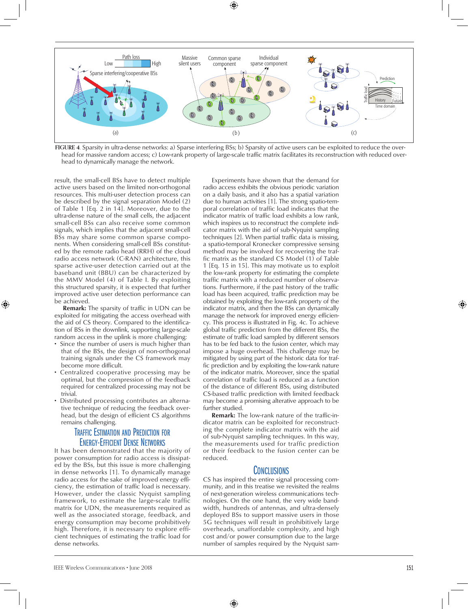

**FIGURE 4.** Sparsity in ultra-dense networks: a) Sparse interfering BSs; b) Sparsity of active users can be exploited to reduce the overhead for massive random access; c) Low-rank property of large-scale traffic matrix facilitates its reconstruction with reduced overhead to dynamically manage the network.

result, the small-cell BSs have to detect multiple active users based on the limited non-orthogonal resources. This multi-user detection process can be described by the signal separation Model (2) of Table 1 [Eq. 2 in 14]. Moreover, due to the ultra-dense nature of the small cells, the adjacent small-cell BSs can also receive some common signals, which implies that the adjacent small-cell BSs may share some common sparse components. When considering small-cell BSs constituted by the remote radio head (RRH) of the cloud radio access network (C-RAN) architecture, this sparse active-user detection carried out at the baseband unit (BBU) can be characterized by the MMV Model (4) of Table I. By exploiting this structured sparsity, it is expected that further improved active user detection performance can be achieved.

Remark: The sparsity of traffic in UDN can be exploited for mitigating the access overhead with the aid of CS theory. Compared to the identification of BSs in the downlink, supporting large-scale random access in the uplink is more challenging:

- Since the number of users is much higher than that of the BSs, the design of non-orthogonal training signals under the CS framework may become more difficult.
- Centralized cooperative processing may be optimal, but the compression of the feedback required for centralized processing may not be trivial.
- Distributed processing contributes an alternative technique of reducing the feedback overhead, but the design of efficient CS algorithms remains challenging.

# Traffic Estimation and Prediction for ENERGY-EFFICIENT DENSE NETWORKS

It has been demonstrated that the majority of power consumption for radio access is dissipated by the BSs, but this issue is more challenging in dense networks [1]. To dynamically manage radio access for the sake of improved energy efficiency, the estimation of traffic load is necessary. However, under the classic Nyquist sampling framework, to estimate the large-scale traffic matrix for UDN, the measurements required as well as the associated storage, feedback, and energy consumption may become prohibitively high. Therefore, it is necessary to explore efficient techniques of estimating the traffic load for dense networks.

Experiments have shown that the demand for radio access exhibits the obvious periodic variation on a daily basis, and it also has a spatial variation due to human activities [1]. The strong spatio-temporal correlation of traffic load indicates that the indicator matrix of traffic load exhibits a low rank, which inspires us to reconstruct the complete indicator matrix with the aid of sub-Nyquist sampling techniques [2]. When partial traffic data is missing, a spatio-temporal Kronecker compressive sensing method may be involved for recovering the traffic matrix as the standard CS Model  $(1)$  of Table 1 [Eq. 15 in 15]. This may motivate us to exploit the low-rank property for estimating the complete traffic matrix with a reduced number of observations. Furthermore, if the past history of the traffic load has been acquired, traffic prediction may be obtained by exploiting the low-rank property of the indicator matrix, and then the BSs can dynamically manage the network for improved energy efficiency. This process is illustrated in Fig. 4c. To achieve global traffic prediction from the different BSs, the estimate of traffic load sampled by different sensors has to be fed back to the fusion center, which may impose a huge overhead. This challenge may be mitigated by using part of the historic data for traffic prediction and by exploiting the low-rank nature of the indicator matrix. Moreover, since the spatial correlation of traffic load is reduced as a function of the distance of different BSs, using distributed CS-based traffic prediction with limited feedback may become a promising alterative approach to be further studied.

Remark: The low-rank nature of the traffic-indicator matrix can be exploited for reconstructing the complete indicator matrix with the aid of sub-Nyquist sampling techniques. In this way, the measurements used for traffic prediction or their feedback to the fusion center can be reduced.

# Conclusions

CS has inspired the entire signal processing community, and in this treatise we revisited the realms of next-generation wireless communications technologies. On the one hand, the very wide bandwidth, hundreds of antennas, and ultra-densely deployed BSs to support massive users in those 5G techniques will result in prohibitively large overheads, unaffordable complexity, and high cost and/or power consumption due to the large number of samples required by the Nyquist sam-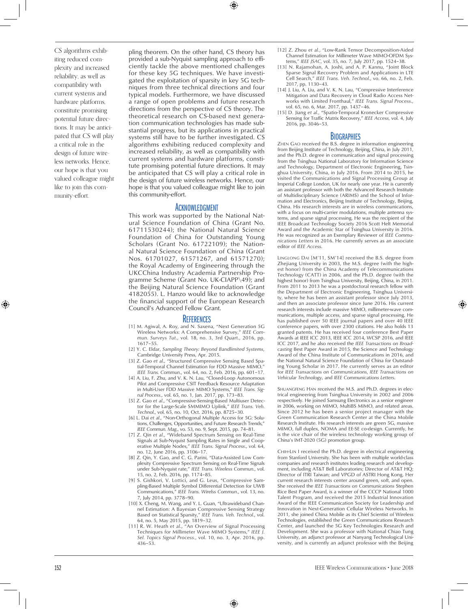CS algorithms exhibiting reduced complexity and increased reliability, as well as compatibility with current systems and hardware platforms, constitute promising potential future directions. It may be anticipated that CS will play a critical role in the design of future wireless networks. Hence, our hope is that you valued colleague might like to join this community-effort.

pling theorem. On the other hand, CS theory has provided a sub-Nyquist sampling approach to efficiently tackle the above mentioned challenges for these key 5G techniques. We have investigated the exploitation of sparsity in key 5G techniques from three technical directions and four typical models. Furthermore, we have discussed a range of open problems and future research directions from the perspective of CS theory. The theoretical research on CS-based next generation communication technologies has made substantial progress, but its applications in practical systems still have to be further investigated. CS algorithms exhibiting reduced complexity and increased reliability, as well as compatibility with current systems and hardware platforms, constitute promising potential future directions. It may be anticipated that CS will play a critical role in the design of future wireless networks. Hence, our hope is that you valued colleague might like to join this community-effort.

#### Acknowledgment

This work was supported by the National Natural Science Foundation of China (Grant No. 61711530244); the National Natural Science Foundation of China for Outstanding Young Scholars (Grant No. 61722109); the National Natural Science Foundation of China (Grant Nos. 61701027, 61571267, and 61571270); the Royal Academy of Engineering through the UKCChina Industry Academia Partnership Programme Scheme (Grant No. UK-CIAPP\49); and the Beijing Natural Science Foundation (Grant 4182055). L. Hanzo would like to acknowledge the financial support of the European Research Council's Advanced Fellow Grant.

#### **REFERENCES**

- [1] M. Agiwal, A. Roy, and N. Saxena, "Next Generation 5G Wireless Networks: A Comprehensive Survey," *IEEE Commun. Surveys Tut*., vol. 18, no. 3, 3rd Quart., 2016, pp. 1617–55.
- [2] Y. C. Eldar, *Sampling Theory: Beyond Bandlimited Systems*, Cambridge University Press, Apr. 2015.
- [3] Z. Gao *et al*., "Structured Compressive Sensing Based Spatial-Temporal Channel Estimation for FDD Massive MIMO," *IEEE Trans. Commun*., vol. 64, no. 2, Feb. 2016, pp. 601–17.
- [4] A. Liu, F. Zhu, and V. K. N. Lau, "Closed-Loop Autonomous Pilot and Compressive CSIT Feedback Resource Adaptation in Multi-User FDD Massive MIMO Systems," *IEEE Trans. Signal Process*., vol. 65, no. 1, Jan. 2017, pp. 173–83.
- [5] Z. Gao *et al*., "Compressive-Sensing-Based Multiuser Detector for the Large-Scale SMMIMO Uplink," *IEEE Trans. Veh. Technol*., vol. 65, no. 10, Oct. 2016, pp. 8725–30.
- [6] L. Dai *et al*., "Non-Orthogonal Multiple Access for 5G: Solutions, Challenges, Opportunities, and Future Research Trends," *IEEE Commun. Mag*., vo. 53, no. 9, Sept. 2015, pp. 74–81.
- [7] Z. Qin *et al*., "Wideband Spectrum Sensing on Real-Time Signals at Sub-Nyquist Sampling Rates in Single and Cooperative Multiple Nodes," *IEEE Trans. Signal Process*., vol. 64, no. 12, June 2016, pp. 3106–17.
- [8] Z. Qin, Y. Gao, and C. G. Parini, "Data-Assisted Low Complexity Compressive Spectrum Sensing on Real-Time Signals under Sub-Nyquist rate," *IEEE Trans. Wireless Commun.*, vol. 15, no. 2, Feb. 2016, pp. 1174–85.
- [9] S. Gishkori, V. Lottici, and G. Leus, "Compressive Sampling-Based Multiple Symbol Differential Detection for UWB Communications," *IEEE Trans. Wirelss Commun*., vol. 13, no. 7, July 2014, pp. 3778–90.
- [10] X. Cheng, M. Wang, and Y. L. Guan, "Ultrawideband Channel Estimation: A Bayesian Compressive Sensing Strategy Based on Statistical Sparsity," *IEEE Trans. Veh. Technol*., vol.
- 64, no. 5, May 2015, pp. 1819–32. [11] R. W. Heath *et al*., "An Overview of Signal Processing Techniques for Millimeter Wave MIMO Systems," *IEEE J. Sel. Topics Signal Process*., vol. 10, no. 3, Apr. 2016, pp. 436–53.
- [12] Z. Zhou *et al.*, "Low-Rank Tensor Decomposition-Aided Channel Estimation for Millimeter Wave MIMO-OFDM Systems," *IEEE JSAC*, vol. 35, no. 7, July 2017, pp. 1524–38.
- [13] N. Rajamohan, A. Joshi, and A. P. Kannu, "Joint Block Sparse Signal Recovery Problem and Applications in LTE Cell Search," *IEEE Trans. Veh. Technol*., vo. 66, no. 2, Feb. 2017, pp. 1130–43.
- [14] J. Liu, A. Liu, and V. K. N. Lau, "Compressive Interference Mitigation and Data Recovery in Cloud Radio Access Networks with Limited Fronthaul," *IEEE Trans. Signal Process*., vol. 65, no. 6, Mar. 2017, pp. 1437–46.
- [15] D. Jiang *et al*., "Spatio-Temporal Kronecker Compressive Sensing for Traffic Matrix Recovery," *IEEE Access*, vol. 4, July 2016, pp. 3046–53.

#### **BIOGRAPHIES**

Zhen Gao received the B.S. degree in information engineering from Beijing Institute of Technology, Beijing, China, in July 2011, and the Ph.D. degree in communication and signal processing from the Tsinghua National Laboratory for Information Science and Technology, Department of Electronic Engineering, Tsinghua University, China, in July 2016. From 2014 to 2015, he visited the Communications and Signal Processing Group at Imperial College London, UK for nearly one year. He is currently an assistant professor with both the Advanced Research Institute of Multidisciplinary Science (ARIMS) and the School of Information and Electronics, Beijing Institute of Technology, Beijing, China. His research interests are in wireless communications, with a focus on multi-carrier modulations, multiple antenna systems, and sparse signal processing. He was the recipient of the IEEE Broadcast Technology Society 2016 Scott Helt Memorial Award and the Academic Star of Tsinghua University in 2016. He was recognized as an Exemplary Reviewer of *IEEE Communications Letters* in 2016. He currently serves as an associate editor of *IEEE Access*.

Linglong Dai [M'11, SM'14] received the B.S. degree from Zhejiang University in 2003, the M.S. degree (with the highest honor) from the China Academy of Telecommunications Technology (CATT) in 2006, and the Ph.D. degree (with the highest honor) from Tsinghua University, Beijing, China, in 2011. From 2011 to 2013 he was a postdoctoral research fellow with the Department of Electronic Engineering, Tsinghua University, where he has been an assistant professor since July 2013, and then an associate professor since June 2016. His current research interests include massive MIMO, millimeter-wave communications, multiple access, and sparse signal processing. He has published over 50 IEEE journal papers and over 40 IEEE conference papers, with over 2300 citations. He also holds 13 granted patents. He has received four conference Best Paper Awards at IEEE ICC 2013, IEEE ICC 2014, WCSP 2016, and IEEE ICC 2017, and he also received the *IEEE Transactions on Broadcasting* Best Paper Award in 2015, the Science and Technology Award of the China Institute of Communications in 2016, and the National Natural Science Foundation of China for Outstanding Young Scholar in 2017. He currently serves as an editor for *IEEE Transactions on Communications*, *IEEE Transactions on Vehicular Technology*, and *IEEE Communications Letters*.

SHUANGFENG HAN received the M.S. and Ph.D. degrees in electrical engineering from Tsinghua University in 2002 and 2006 respectively. He joined Samsung Electronics as a senior engineer in 2006, working on MIMO, MultiBS MIMO, and related areas. Since 2012 he has been a senior project manager with the Green Communication Research Center at the China Mobile Research Institute. His research interests are green 5G, massive MIMO, full duplex, NOMA and EE-SE co-design. Currently, he is the vice chair of the wireless technology working group of China's IMT-2020 (5G) promotion group.

Chih-Lin I received the Ph.D. degree in electrical engineering from Stanford University. She has been with multiple world-class companies and research institutes leading research and development, including AT&T Bell Laboratories; Director of AT&T HQ; Director of ITRI Taiwan; and VPGD of ASTRI Hong Kong. Her current research interests center around green, soft, and open. She received the *IEEE Transactions on Communications* Stephen Rice Best Paper Award, is a winner of the CCCP National 1000 Talent Program, and received the 2015 Industrial Innovation Award of the IEEE Communication Society for Leadership and Innovation in Next-Generation Cellular Wireless Networks. In 2011, she joined China Mobile as its Chief Scientist of Wireless Technologies, established the Green Communications Research Center, and launched the 5G Key Technologies Research and Development. She was a professor with National Chiao Tung University, an adjunct professor at Nanyang Technological University, and is currently an adjunct professor with the Beijing